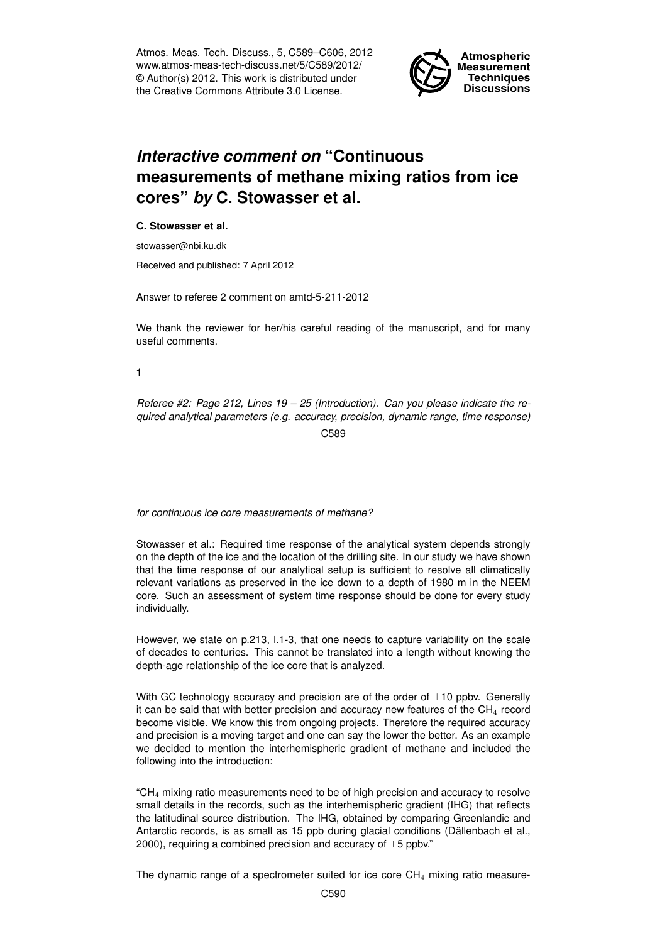Atmos. Meas. Tech. Discuss., 5, C589–C606, 2012 www.atmos-meas-tech-discuss.net/5/C589/2012/ © Author(s) 2012. This work is distributed under the Creative Commons Attribute 3.0 License.



# *Interactive comment on* **"Continuous measurements of methane mixing ratios from ice cores"** *by* **C. Stowasser et al.**

## **C. Stowasser et al.**

stowasser@nbi.ku.dk

Received and published: 7 April 2012

Answer to referee 2 comment on amtd-5-211-2012

We thank the reviewer for her/his careful reading of the manuscript, and for many useful comments.

#### **1**

*Referee #2: Page 212, Lines 19 – 25 (Introduction). Can you please indicate the required analytical parameters (e.g. accuracy, precision, dynamic range, time response)* C589

*for continuous ice core measurements of methane?*

Stowasser et al.: Required time response of the analytical system depends strongly on the depth of the ice and the location of the drilling site. In our study we have shown that the time response of our analytical setup is sufficient to resolve all climatically relevant variations as preserved in the ice down to a depth of 1980 m in the NEEM core. Such an assessment of system time response should be done for every study individually.

However, we state on p.213, l.1-3, that one needs to capture variability on the scale of decades to centuries. This cannot be translated into a length without knowing the depth-age relationship of the ice core that is analyzed.

With GC technology accuracy and precision are of the order of  $\pm 10$  ppbv. Generally it can be said that with better precision and accuracy new features of the  $CH<sub>4</sub>$  record become visible. We know this from ongoing projects. Therefore the required accuracy and precision is a moving target and one can say the lower the better. As an example we decided to mention the interhemispheric gradient of methane and included the following into the introduction:

 $C_{\text{H}_{4}}$  mixing ratio measurements need to be of high precision and accuracy to resolve small details in the records, such as the interhemispheric gradient (IHG) that reflects the latitudinal source distribution. The IHG, obtained by comparing Greenlandic and Antarctic records, is as small as 15 ppb during glacial conditions (Dällenbach et al., 2000), requiring a combined precision and accuracy of  $\pm 5$  ppbv."

The dynamic range of a spectrometer suited for ice core  $CH<sub>4</sub>$  mixing ratio measure-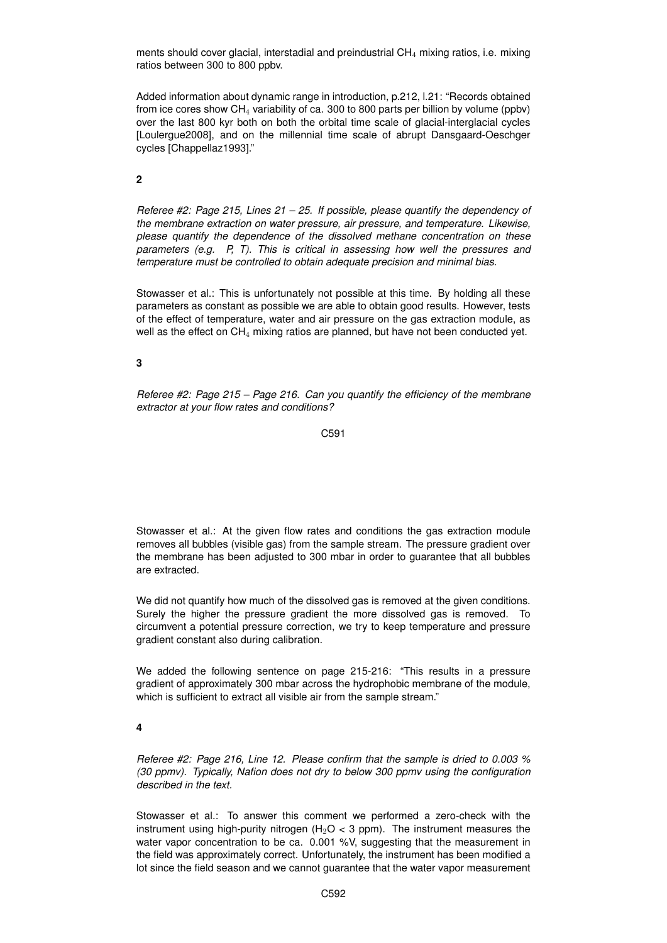ments should cover glacial, interstadial and preindustrial CH<sup>4</sup> mixing ratios, i.e. mixing ratios between 300 to 800 ppbv.

Added information about dynamic range in introduction, p.212, l.21: "Records obtained from ice cores show  $CH_4$  variability of ca. 300 to 800 parts per billion by volume (ppbv) over the last 800 kyr both on both the orbital time scale of glacial-interglacial cycles [Loulergue2008], and on the millennial time scale of abrupt Dansgaard-Oeschger cycles [Chappellaz1993]."

**2**

*Referee #2: Page 215, Lines 21 – 25. If possible, please quantify the dependency of the membrane extraction on water pressure, air pressure, and temperature. Likewise, please quantify the dependence of the dissolved methane concentration on these parameters (e.g. P, T). This is critical in assessing how well the pressures and temperature must be controlled to obtain adequate precision and minimal bias.*

Stowasser et al.: This is unfortunately not possible at this time. By holding all these parameters as constant as possible we are able to obtain good results. However, tests of the effect of temperature, water and air pressure on the gas extraction module, as well as the effect on CH<sub>4</sub> mixing ratios are planned, but have not been conducted yet.

**3**

*Referee #2: Page 215 – Page 216. Can you quantify the efficiency of the membrane extractor at your flow rates and conditions?*

C591

Stowasser et al.: At the given flow rates and conditions the gas extraction module removes all bubbles (visible gas) from the sample stream. The pressure gradient over the membrane has been adjusted to 300 mbar in order to guarantee that all bubbles are extracted.

We did not quantify how much of the dissolved gas is removed at the given conditions. Surely the higher the pressure gradient the more dissolved gas is removed. To circumvent a potential pressure correction, we try to keep temperature and pressure gradient constant also during calibration.

We added the following sentence on page 215-216: "This results in a pressure gradient of approximately 300 mbar across the hydrophobic membrane of the module, which is sufficient to extract all visible air from the sample stream."

**4**

*Referee #2: Page 216, Line 12. Please confirm that the sample is dried to 0.003 % (30 ppmv). Typically, Nafion does not dry to below 300 ppmv using the configuration described in the text.*

Stowasser et al.: To answer this comment we performed a zero-check with the instrument using high-purity nitrogen (H<sub>2</sub>O < 3 ppm). The instrument measures the water vapor concentration to be ca. 0.001 %V, suggesting that the measurement in the field was approximately correct. Unfortunately, the instrument has been modified a lot since the field season and we cannot guarantee that the water vapor measurement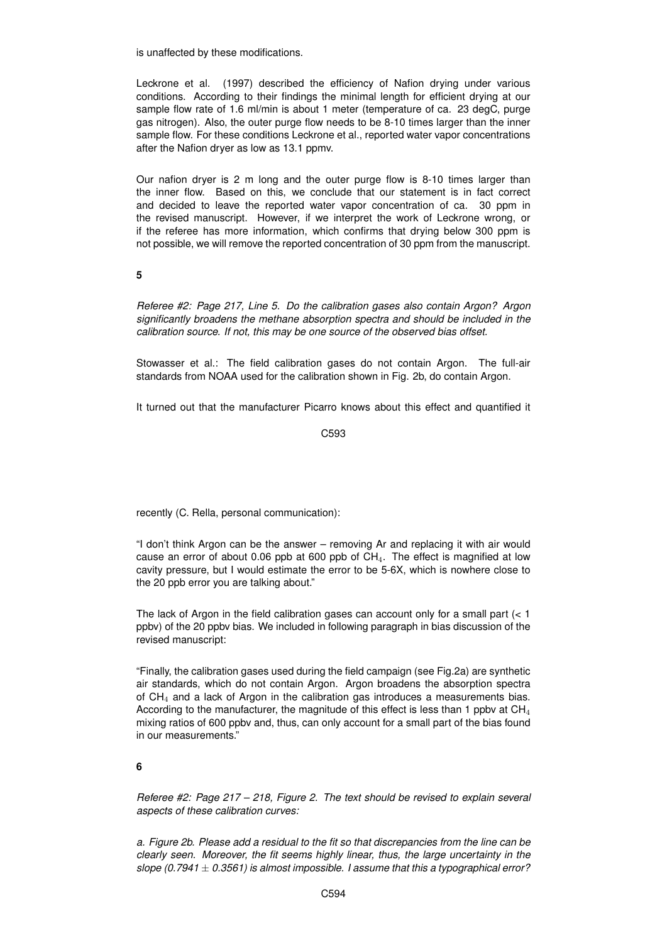is unaffected by these modifications.

Leckrone et al. (1997) described the efficiency of Nafion drying under various conditions. According to their findings the minimal length for efficient drying at our sample flow rate of 1.6 ml/min is about 1 meter (temperature of ca. 23 degC, purge gas nitrogen). Also, the outer purge flow needs to be 8-10 times larger than the inner sample flow. For these conditions Leckrone et al., reported water vapor concentrations after the Nafion dryer as low as 13.1 ppmv.

Our nafion dryer is 2 m long and the outer purge flow is 8-10 times larger than the inner flow. Based on this, we conclude that our statement is in fact correct and decided to leave the reported water vapor concentration of ca. 30 ppm in the revised manuscript. However, if we interpret the work of Leckrone wrong, or if the referee has more information, which confirms that drying below 300 ppm is not possible, we will remove the reported concentration of 30 ppm from the manuscript.

**5**

*Referee #2: Page 217, Line 5. Do the calibration gases also contain Argon? Argon significantly broadens the methane absorption spectra and should be included in the calibration source. If not, this may be one source of the observed bias offset.*

Stowasser et al.: The field calibration gases do not contain Argon. The full-air standards from NOAA used for the calibration shown in Fig. 2b, do contain Argon.

It turned out that the manufacturer Picarro knows about this effect and quantified it

C593

recently (C. Rella, personal communication):

"I don't think Argon can be the answer – removing Ar and replacing it with air would cause an error of about 0.06 ppb at 600 ppb of  $CH<sub>4</sub>$ . The effect is magnified at low cavity pressure, but I would estimate the error to be 5-6X, which is nowhere close to the 20 ppb error you are talking about."

The lack of Argon in the field calibration gases can account only for a small part  $(< 1$ ppbv) of the 20 ppbv bias. We included in following paragraph in bias discussion of the revised manuscript:

"Finally, the calibration gases used during the field campaign (see Fig.2a) are synthetic air standards, which do not contain Argon. Argon broadens the absorption spectra of  $CH<sub>4</sub>$  and a lack of Argon in the calibration gas introduces a measurements bias. According to the manufacturer, the magnitude of this effect is less than 1 ppbv at  $CH<sub>4</sub>$ mixing ratios of 600 ppbv and, thus, can only account for a small part of the bias found in our measurements."

**6**

*Referee #2: Page 217 – 218, Figure 2. The text should be revised to explain several aspects of these calibration curves:*

*a. Figure 2b. Please add a residual to the fit so that discrepancies from the line can be clearly seen. Moreover, the fit seems highly linear, thus, the large uncertainty in the slope (0.7941* ± *0.3561) is almost impossible. I assume that this a typographical error?*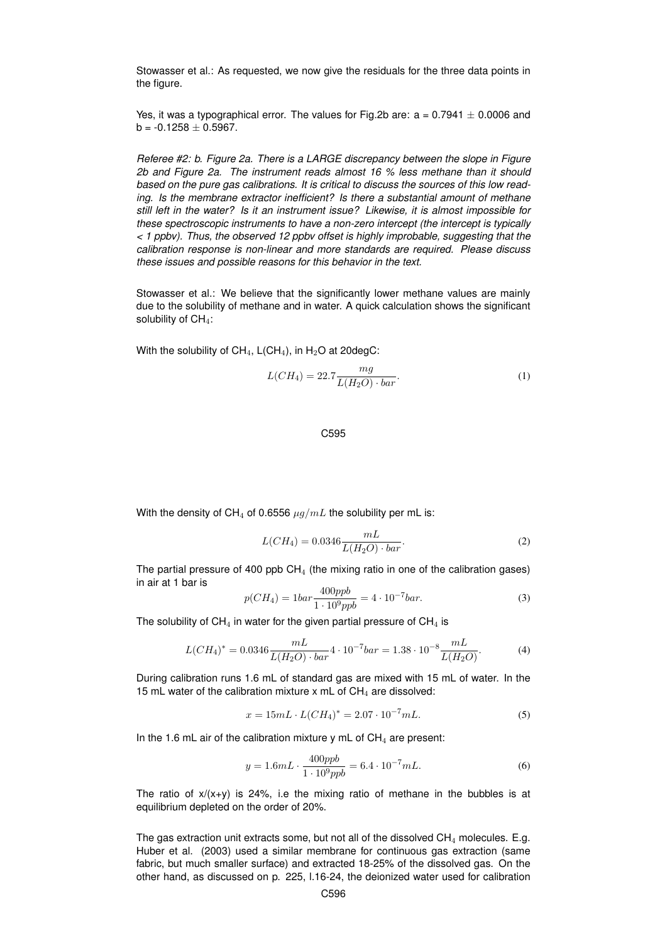Stowasser et al.: As requested, we now give the residuals for the three data points in the figure.

Yes, it was a typographical error. The values for Fig.2b are:  $a = 0.7941 \pm 0.0006$  and  $b = -0.1258 \pm 0.5967$ .

*Referee #2: b. Figure 2a. There is a LARGE discrepancy between the slope in Figure 2b and Figure 2a. The instrument reads almost 16 % less methane than it should based on the pure gas calibrations. It is critical to discuss the sources of this low reading. Is the membrane extractor inefficient? Is there a substantial amount of methane still left in the water? Is it an instrument issue? Likewise, it is almost impossible for these spectroscopic instruments to have a non-zero intercept (the intercept is typically < 1 ppbv). Thus, the observed 12 ppbv offset is highly improbable, suggesting that the calibration response is non-linear and more standards are required. Please discuss these issues and possible reasons for this behavior in the text.*

Stowasser et al.: We believe that the significantly lower methane values are mainly due to the solubility of methane and in water. A quick calculation shows the significant solubility of  $CH<sub>4</sub>$ :

With the solubility of  $CH_4$ ,  $L(CH_4)$ , in H<sub>2</sub>O at 20degC:

$$
L(CH_4) = 22.7 \frac{mg}{L(H_2O) \cdot bar}.
$$
 (1)

#### C595

With the density of CH<sub>4</sub> of 0.6556  $\mu g/mL$  the solubility per mL is:

$$
L(CH_4) = 0.0346 \frac{mL}{L(H_2O) \cdot bar}.
$$
 (2)

The partial pressure of 400 ppb  $CH_4$  (the mixing ratio in one of the calibration gases) in air at 1 bar is

$$
p(CH_4) = 1bar \frac{400ppb}{1 \cdot 10^9 ppb} = 4 \cdot 10^{-7} bar.
$$
 (3)

The solubility of  $CH_4$  in water for the given partial pressure of  $CH_4$  is

$$
L(CH_4)^* = 0.0346 \frac{mL}{L(H_2O) \cdot bar} 4 \cdot 10^{-7} bar = 1.38 \cdot 10^{-8} \frac{mL}{L(H_2O)}.
$$
 (4)

During calibration runs 1.6 mL of standard gas are mixed with 15 mL of water. In the 15 mL water of the calibration mixture x mL of  $CH<sub>4</sub>$  are dissolved:

$$
x = 15mL \cdot L(CH_4)^* = 2.07 \cdot 10^{-7} mL. \tag{5}
$$

In the 1.6 mL air of the calibration mixture y mL of  $CH<sub>4</sub>$  are present:

$$
y = 1.6mL \cdot \frac{400ppb}{1 \cdot 10^9 ppb} = 6.4 \cdot 10^{-7} mL. \tag{6}
$$

The ratio of  $x/(x+y)$  is 24%, i.e the mixing ratio of methane in the bubbles is at equilibrium depleted on the order of 20%.

The gas extraction unit extracts some, but not all of the dissolved  $CH<sub>4</sub>$  molecules. E.g. Huber et al. (2003) used a similar membrane for continuous gas extraction (same fabric, but much smaller surface) and extracted 18-25% of the dissolved gas. On the other hand, as discussed on p. 225, l.16-24, the deionized water used for calibration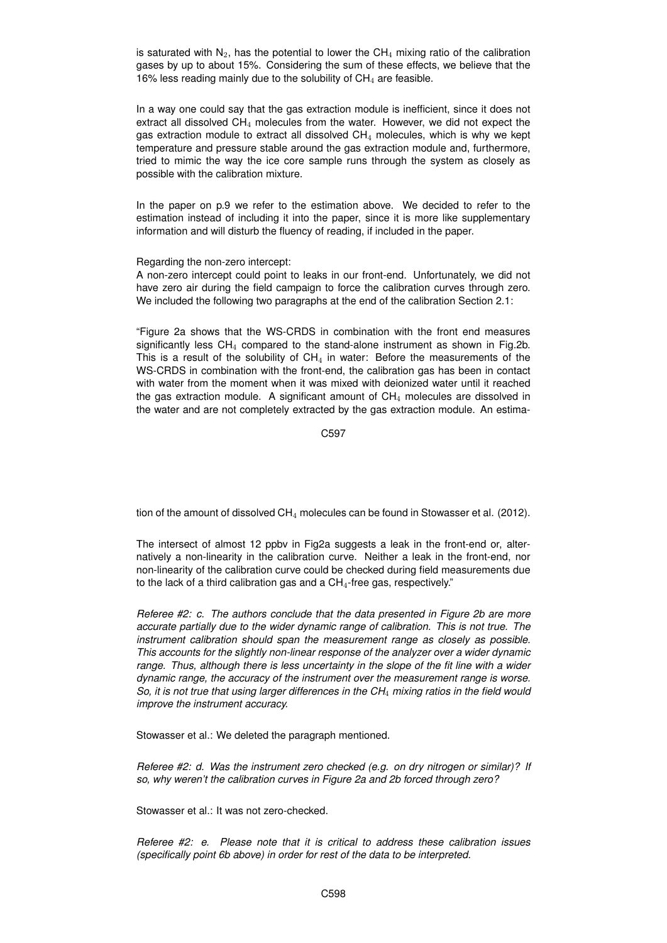is saturated with  $N_2$ , has the potential to lower the CH<sub>4</sub> mixing ratio of the calibration gases by up to about 15%. Considering the sum of these effects, we believe that the 16% less reading mainly due to the solubility of  $CH<sub>4</sub>$  are feasible.

In a way one could say that the gas extraction module is inefficient, since it does not extract all dissolved  $CH<sub>4</sub>$  molecules from the water. However, we did not expect the gas extraction module to extract all dissolved  $CH<sub>4</sub>$  molecules, which is why we kept temperature and pressure stable around the gas extraction module and, furthermore, tried to mimic the way the ice core sample runs through the system as closely as possible with the calibration mixture.

In the paper on p.9 we refer to the estimation above. We decided to refer to the estimation instead of including it into the paper, since it is more like supplementary information and will disturb the fluency of reading, if included in the paper.

Regarding the non-zero intercept:

A non-zero intercept could point to leaks in our front-end. Unfortunately, we did not have zero air during the field campaign to force the calibration curves through zero. We included the following two paragraphs at the end of the calibration Section 2.1:

"Figure 2a shows that the WS-CRDS in combination with the front end measures significantly less  $CH_4$  compared to the stand-alone instrument as shown in Fig.2b. This is a result of the solubility of  $CH<sub>4</sub>$  in water: Before the measurements of the WS-CRDS in combination with the front-end, the calibration gas has been in contact with water from the moment when it was mixed with deionized water until it reached the gas extraction module. A significant amount of  $CH<sub>4</sub>$  molecules are dissolved in the water and are not completely extracted by the gas extraction module. An estima-

C597

tion of the amount of dissolved  $CH_4$  molecules can be found in Stowasser et al. (2012).

The intersect of almost 12 ppbv in Fig2a suggests a leak in the front-end or, alternatively a non-linearity in the calibration curve. Neither a leak in the front-end, nor non-linearity of the calibration curve could be checked during field measurements due to the lack of a third calibration gas and a CH4-free gas, respectively."

*Referee #2: c. The authors conclude that the data presented in Figure 2b are more accurate partially due to the wider dynamic range of calibration. This is not true. The instrument calibration should span the measurement range as closely as possible. This accounts for the slightly non-linear response of the analyzer over a wider dynamic range. Thus, although there is less uncertainty in the slope of the fit line with a wider dynamic range, the accuracy of the instrument over the measurement range is worse. So, it is not true that using larger differences in the CH*<sup>4</sup> *mixing ratios in the field would improve the instrument accuracy.*

Stowasser et al.: We deleted the paragraph mentioned.

*Referee #2: d. Was the instrument zero checked (e.g. on dry nitrogen or similar)? If so, why weren't the calibration curves in Figure 2a and 2b forced through zero?*

Stowasser et al.: It was not zero-checked.

*Referee #2: e. Please note that it is critical to address these calibration issues (specifically point 6b above) in order for rest of the data to be interpreted.*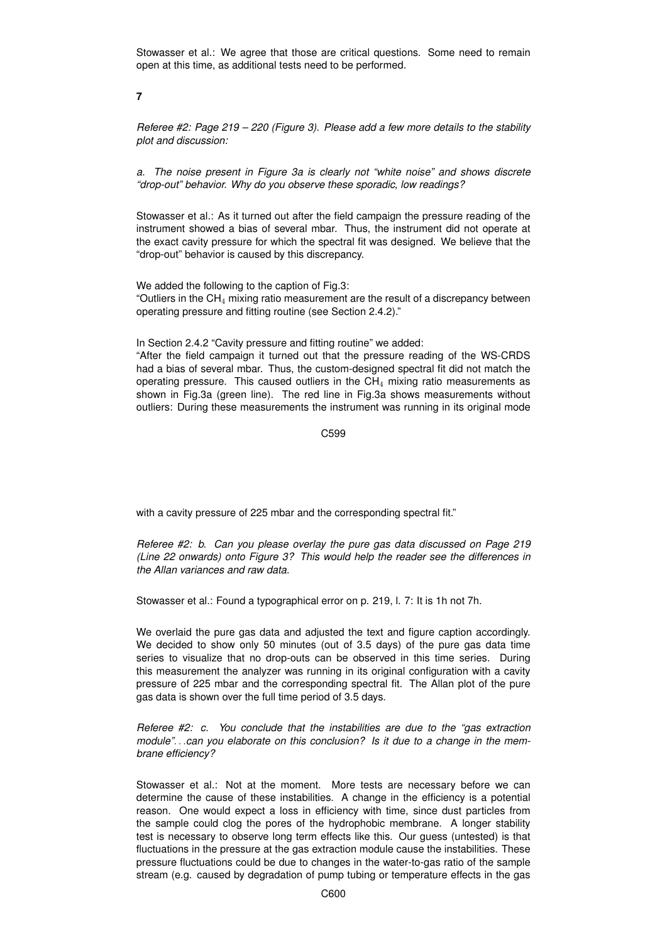Stowasser et al.: We agree that those are critical questions. Some need to remain open at this time, as additional tests need to be performed.

**7**

*Referee #2: Page 219 – 220 (Figure 3). Please add a few more details to the stability plot and discussion:*

*a. The noise present in Figure 3a is clearly not "white noise" and shows discrete "drop-out" behavior. Why do you observe these sporadic, low readings?*

Stowasser et al.: As it turned out after the field campaign the pressure reading of the instrument showed a bias of several mbar. Thus, the instrument did not operate at the exact cavity pressure for which the spectral fit was designed. We believe that the "drop-out" behavior is caused by this discrepancy.

We added the following to the caption of Fig.3: "Outliers in the  $CH_4$  mixing ratio measurement are the result of a discrepancy between operating pressure and fitting routine (see Section 2.4.2)."

In Section 2.4.2 "Cavity pressure and fitting routine" we added:

"After the field campaign it turned out that the pressure reading of the WS-CRDS had a bias of several mbar. Thus, the custom-designed spectral fit did not match the operating pressure. This caused outliers in the  $CH<sub>4</sub>$  mixing ratio measurements as shown in Fig.3a (green line). The red line in Fig.3a shows measurements without outliers: During these measurements the instrument was running in its original mode

C599

with a cavity pressure of 225 mbar and the corresponding spectral fit."

*Referee #2: b. Can you please overlay the pure gas data discussed on Page 219 (Line 22 onwards) onto Figure 3? This would help the reader see the differences in the Allan variances and raw data.*

Stowasser et al.: Found a typographical error on p. 219, l. 7: It is 1h not 7h.

We overlaid the pure gas data and adjusted the text and figure caption accordingly. We decided to show only 50 minutes (out of 3.5 days) of the pure gas data time series to visualize that no drop-outs can be observed in this time series. During this measurement the analyzer was running in its original configuration with a cavity pressure of 225 mbar and the corresponding spectral fit. The Allan plot of the pure gas data is shown over the full time period of 3.5 days.

*Referee #2: c. You conclude that the instabilities are due to the "gas extraction module"*. . .*can you elaborate on this conclusion? Is it due to a change in the membrane efficiency?*

Stowasser et al.: Not at the moment. More tests are necessary before we can determine the cause of these instabilities. A change in the efficiency is a potential reason. One would expect a loss in efficiency with time, since dust particles from the sample could clog the pores of the hydrophobic membrane. A longer stability test is necessary to observe long term effects like this. Our guess (untested) is that fluctuations in the pressure at the gas extraction module cause the instabilities. These pressure fluctuations could be due to changes in the water-to-gas ratio of the sample stream (e.g. caused by degradation of pump tubing or temperature effects in the gas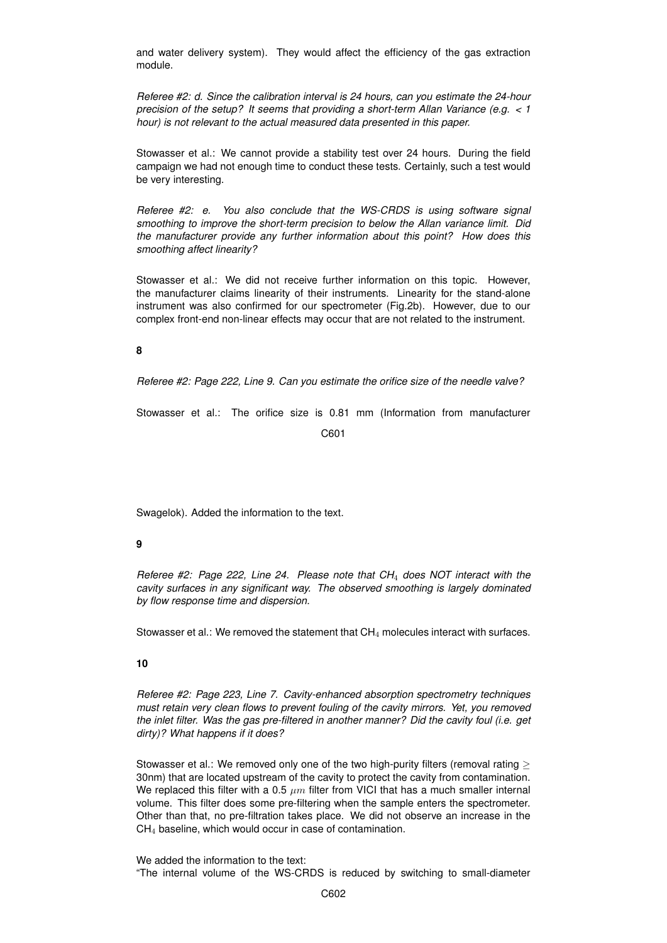and water delivery system). They would affect the efficiency of the gas extraction module.

*Referee #2: d. Since the calibration interval is 24 hours, can you estimate the 24-hour precision of the setup? It seems that providing a short-term Allan Variance (e.g. < 1 hour) is not relevant to the actual measured data presented in this paper.*

Stowasser et al.: We cannot provide a stability test over 24 hours. During the field campaign we had not enough time to conduct these tests. Certainly, such a test would be very interesting.

*Referee #2: e. You also conclude that the WS-CRDS is using software signal smoothing to improve the short-term precision to below the Allan variance limit. Did the manufacturer provide any further information about this point? How does this smoothing affect linearity?*

Stowasser et al.: We did not receive further information on this topic. However, the manufacturer claims linearity of their instruments. Linearity for the stand-alone instrument was also confirmed for our spectrometer (Fig.2b). However, due to our complex front-end non-linear effects may occur that are not related to the instrument.

# **8**

*Referee #2: Page 222, Line 9. Can you estimate the orifice size of the needle valve?*

Stowasser et al.: The orifice size is 0.81 mm (Information from manufacturer

C601

Swagelok). Added the information to the text.

# **9**

*Referee #2: Page 222, Line 24. Please note that CH*<sup>4</sup> *does NOT interact with the cavity surfaces in any significant way. The observed smoothing is largely dominated by flow response time and dispersion.*

Stowasser et al.: We removed the statement that  $CH<sub>4</sub>$  molecules interact with surfaces.

#### **10**

*Referee #2: Page 223, Line 7. Cavity-enhanced absorption spectrometry techniques must retain very clean flows to prevent fouling of the cavity mirrors. Yet, you removed the inlet filter. Was the gas pre-filtered in another manner? Did the cavity foul (i.e. get dirty)? What happens if it does?*

Stowasser et al.: We removed only one of the two high-purity filters (removal rating  $\geq$ 30nm) that are located upstream of the cavity to protect the cavity from contamination. We replaced this filter with a 0.5  $\mu$ m filter from VICI that has a much smaller internal volume. This filter does some pre-filtering when the sample enters the spectrometer. Other than that, no pre-filtration takes place. We did not observe an increase in the CH<sup>4</sup> baseline, which would occur in case of contamination.

We added the information to the text: "The internal volume of the WS-CRDS is reduced by switching to small-diameter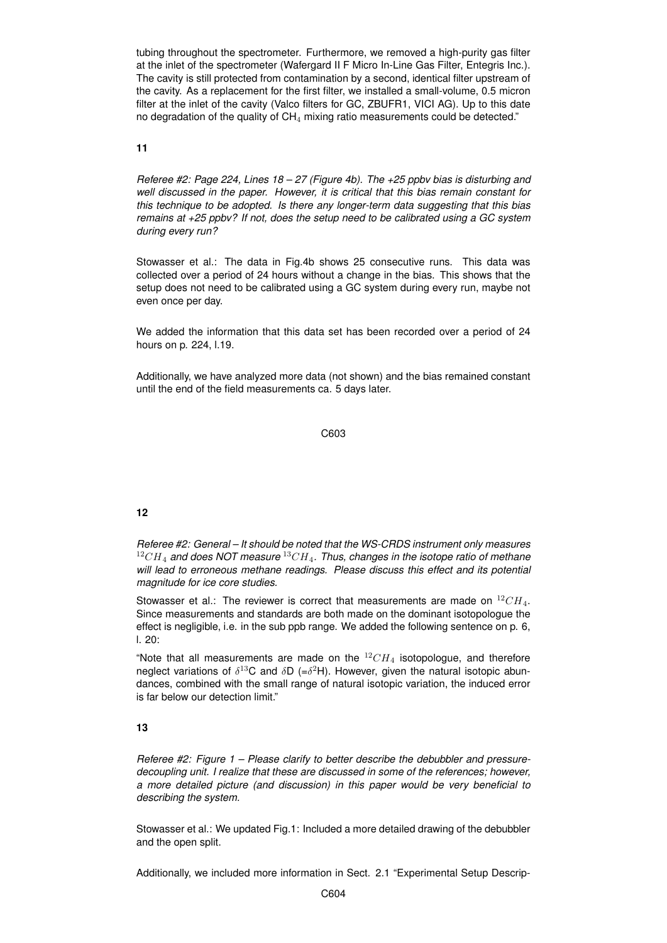tubing throughout the spectrometer. Furthermore, we removed a high-purity gas filter at the inlet of the spectrometer (Wafergard II F Micro In-Line Gas Filter, Entegris Inc.). The cavity is still protected from contamination by a second, identical filter upstream of the cavity. As a replacement for the first filter, we installed a small-volume, 0.5 micron filter at the inlet of the cavity (Valco filters for GC, ZBUFR1, VICI AG). Up to this date no degradation of the quality of CH<sub>4</sub> mixing ratio measurements could be detected."

#### **11**

*Referee #2: Page 224, Lines 18 – 27 (Figure 4b). The +25 ppbv bias is disturbing and well discussed in the paper. However, it is critical that this bias remain constant for this technique to be adopted. Is there any longer-term data suggesting that this bias remains at +25 ppbv? If not, does the setup need to be calibrated using a GC system during every run?*

Stowasser et al.: The data in Fig.4b shows 25 consecutive runs. This data was collected over a period of 24 hours without a change in the bias. This shows that the setup does not need to be calibrated using a GC system during every run, maybe not even once per day.

We added the information that this data set has been recorded over a period of 24 hours on p. 224, l.19.

Additionally, we have analyzed more data (not shown) and the bias remained constant until the end of the field measurements ca. 5 days later.

#### C603

# **12**

*Referee #2: General – It should be noted that the WS-CRDS instrument only measures* <sup>12</sup>CH<sup>4</sup> *and does NOT measure* <sup>13</sup>CH4*. Thus, changes in the isotope ratio of methane will lead to erroneous methane readings. Please discuss this effect and its potential magnitude for ice core studies.*

Stowasser et al.: The reviewer is correct that measurements are made on  $^{12}CH_4$ . Since measurements and standards are both made on the dominant isotopologue the effect is negligible, i.e. in the sub ppb range. We added the following sentence on p. 6, l. 20:

"Note that all measurements are made on the  $12CH_4$  isotopologue, and therefore neglect variations of  $\delta^{13}$ C and  $\delta$ D (= $\delta^2$ H). However, given the natural isotopic abundances, combined with the small range of natural isotopic variation, the induced error is far below our detection limit."

# **13**

*Referee #2: Figure 1 – Please clarify to better describe the debubbler and pressuredecoupling unit. I realize that these are discussed in some of the references; however, a more detailed picture (and discussion) in this paper would be very beneficial to describing the system.*

Stowasser et al.: We updated Fig.1: Included a more detailed drawing of the debubbler and the open split.

Additionally, we included more information in Sect. 2.1 "Experimental Setup Descrip-